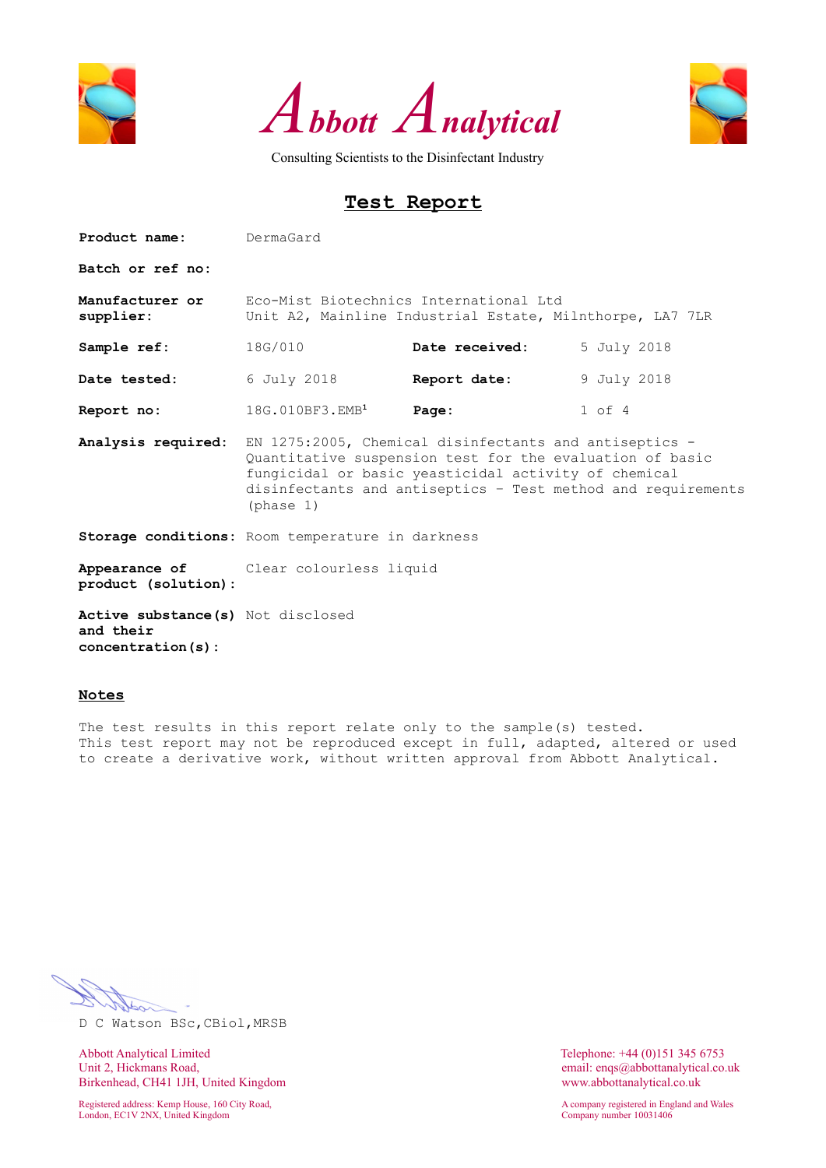





# **Test Report**

| <b>Product name:</b> DermaGard                                       |                                                                                                                                                                                                                                                         |                |             |  |  |  |  |
|----------------------------------------------------------------------|---------------------------------------------------------------------------------------------------------------------------------------------------------------------------------------------------------------------------------------------------------|----------------|-------------|--|--|--|--|
| Batch or ref no:                                                     |                                                                                                                                                                                                                                                         |                |             |  |  |  |  |
| Manufacturer or<br>supplier:                                         | Eco-Mist Biotechnics International Ltd<br>Unit A2, Mainline Industrial Estate, Milnthorpe, LA7 7LR                                                                                                                                                      |                |             |  |  |  |  |
| Sample ref:                                                          | 18G/010                                                                                                                                                                                                                                                 | Date received: | 5 July 2018 |  |  |  |  |
| Date tested: 6 July 2018                                             |                                                                                                                                                                                                                                                         | Report date:   | 9 July 2018 |  |  |  |  |
| Report no:                                                           | 18G.010BF3.EMB <sup>1</sup>                                                                                                                                                                                                                             | Page:          | $1$ of $4$  |  |  |  |  |
| Analysis required:                                                   | EN 1275:2005, Chemical disinfectants and antiseptics -<br>Quantitative suspension test for the evaluation of basic<br>fungicidal or basic yeasticidal activity of chemical<br>disinfectants and antiseptics - Test method and requirements<br>(phase 1) |                |             |  |  |  |  |
|                                                                      | Storage conditions: Room temperature in darkness                                                                                                                                                                                                        |                |             |  |  |  |  |
| product (solution):                                                  | <b>Appearance of</b> Clear colourless liquid                                                                                                                                                                                                            |                |             |  |  |  |  |
| Active substance (s) Not disclosed<br>and their<br>concentration(s): |                                                                                                                                                                                                                                                         |                |             |  |  |  |  |

#### **Notes**

The test results in this report relate only to the sample(s) tested. This test report may not be reproduced except in full, adapted, altered or used to create a derivative work, without written approval from Abbott Analytical.

D C Watson BSc,CBiol,MRSB

Abbott Analytical Limited<br>
Unit 2, Hickmans Road,<br>
Unit 2, Hickmans Road,<br>
Conservation of the Maria Conservation of the Maria Conservation of the Maria Conservation of the Maria Conservation of the Maria Conservation of t Birkenhead, CH41 1JH, United Kingdom www.abbottanalytical.co.uk

Registered address: Kemp House, 160 City Road, A company registered in England and Wales London, EC1V 2NX, United Kingdom Company number 10031406

email: enqs@abbottanalytical.co.uk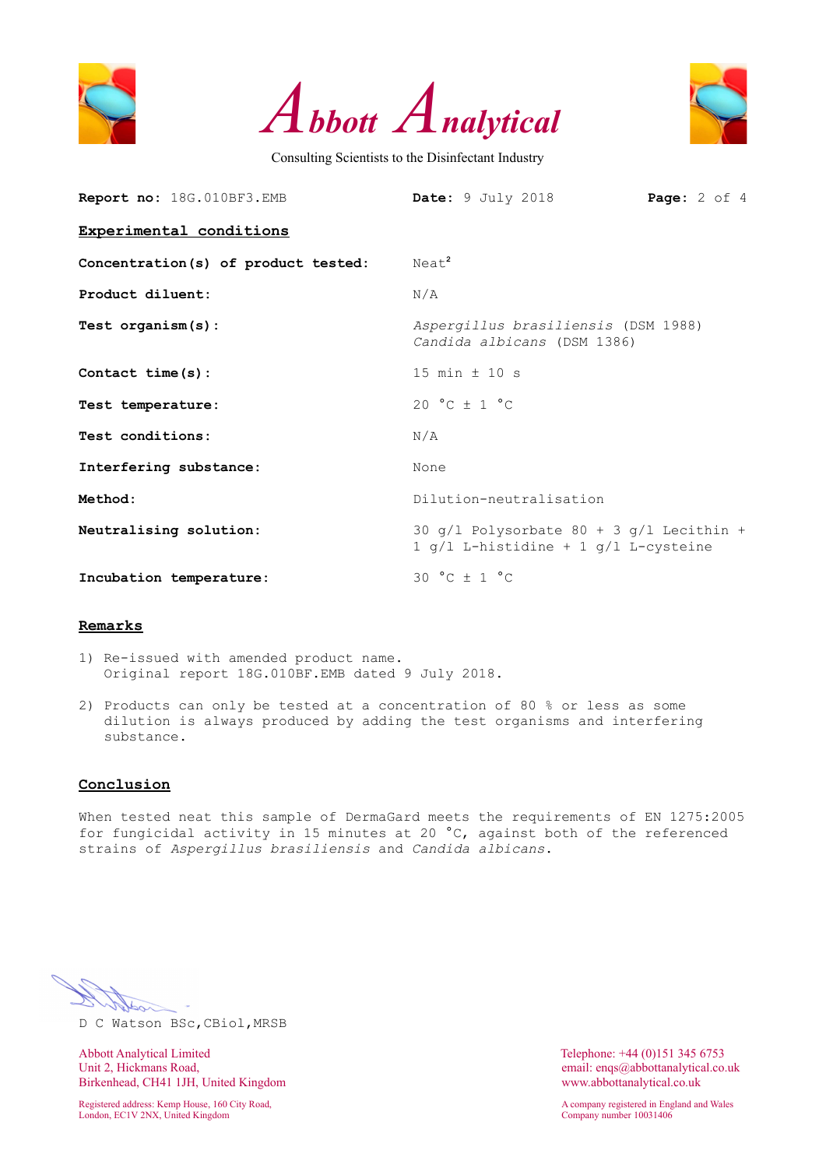





| Report no: 18G.010BF3.EMB           | Date: 9 July 2018<br><b>Page:</b> $2$ of $4$                                             |  |  |  |  |  |  |
|-------------------------------------|------------------------------------------------------------------------------------------|--|--|--|--|--|--|
| Experimental conditions             |                                                                                          |  |  |  |  |  |  |
| Concentration(s) of product tested: | Neat <sup>2</sup>                                                                        |  |  |  |  |  |  |
| Product diluent:                    | N/A                                                                                      |  |  |  |  |  |  |
| Test $organism(s)$ :                | Aspergillus brasiliensis (DSM 1988)<br>Candida albicans (DSM 1386)                       |  |  |  |  |  |  |
| Contact time (s) :                  | 15 min $\pm$ 10 s                                                                        |  |  |  |  |  |  |
| Test temperature:                   | $20 °C + 1 °C$                                                                           |  |  |  |  |  |  |
| Test conditions:                    | N/A                                                                                      |  |  |  |  |  |  |
| Interfering substance:              | None                                                                                     |  |  |  |  |  |  |
| Method:                             | Dilution-neutralisation                                                                  |  |  |  |  |  |  |
| Neutralising solution:              | 30 $q/l$ Polysorbate 80 + 3 $q/l$ Lecithin +<br>1 $q/l$ L-histidine + 1 $q/l$ L-cysteine |  |  |  |  |  |  |
| Incubation temperature:             | 30 °C $\pm$ 1 °C                                                                         |  |  |  |  |  |  |

#### **Remarks**

- 1) Re-issued with amended product name. Original report 18G.010BF.EMB dated 9 July 2018.
- 2) Products can only be tested at a concentration of 80 % or less as some dilution is always produced by adding the test organisms and interfering substance.

### **Conclusion**

When tested neat this sample of DermaGard meets the requirements of EN 1275:2005 for fungicidal activity in 15 minutes at 20 °C, against both of the referenced strains of *Aspergillus brasiliensis* and *Candida albicans*.

D C Watson BSc,CBiol,MRSB

Abbott Analytical Limited Telephone: +44 (0)151 345 6753<br>
Unit 2, Hickmans Road, email: engs@abbottanalytical.co. Birkenhead, CH41 1JH, United Kingdom www.abbottanalytical.co.uk

London, EC1V 2NX, United Kingdom Company number 10031406

email: enqs@abbottanalytical.co.uk

Registered address: Kemp House, 160 City Road, A company registered in England and Wales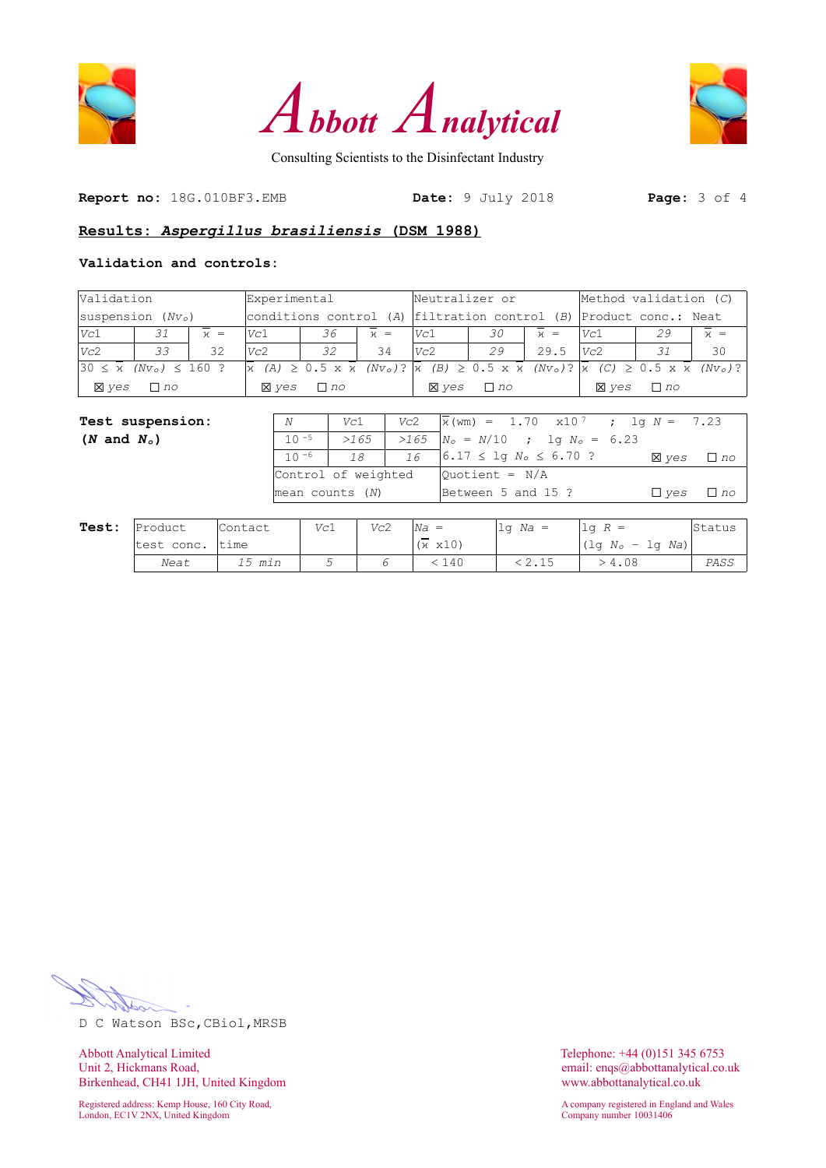





**Report no:** 18G.010BF3.EMB **Date:** 9 July 2018 **Page:** 3 of 4

#### **Results:** *Aspergillus brasiliensis* **(DSM 1988)**

#### **Validation and controls:**

| Validation                                              |           |       | Experimental |           |         | Neutralizer or |           |         | Method validation $(C)$                                           |                                                                                                                                                                                                          |         |  |
|---------------------------------------------------------|-----------|-------|--------------|-----------|---------|----------------|-----------|---------|-------------------------------------------------------------------|----------------------------------------------------------------------------------------------------------------------------------------------------------------------------------------------------------|---------|--|
| $ {\rm suspension~}(Nv_0) $                             |           |       |              |           |         |                |           |         | conditions control (A) filtration control (B) Product conc.: Neat |                                                                                                                                                                                                          |         |  |
| Vc1                                                     | 31        | $x =$ | Vc1          | 36        | $\nu =$ | lVc1           | 30        | $\nu =$ | Vc1                                                               | 29                                                                                                                                                                                                       | $\nu =$ |  |
| Vc2                                                     | 33        | 32    | Vc2          | 32        | 34      | Vc2            | 29        | 29.5    | Vc2                                                               | 31                                                                                                                                                                                                       | 30      |  |
| $ 30 \leq \overline{x}$ (Nv <sub>o</sub> ) $\leq 160$ ? |           |       |              |           |         |                |           |         |                                                                   | $\overline{x}$ (A) $\geq$ 0.5 x $\overline{x}$ (Nv <sub>o</sub> )? $\overline{x}$ (B) $\geq$ 0.5 x $\overline{x}$ (Nv <sub>o</sub> )? $\overline{x}$ (C) $\geq$ 0.5 x $\overline{x}$ (Nv <sub>o</sub> )? |         |  |
| <b>X</b> ves                                            | $\Box$ no |       | <b>X</b> ves | $\Box$ no |         | <b>X</b> ves   | $\Box$ no |         | <b>X</b> ves                                                      | $\Box$ no                                                                                                                                                                                                |         |  |

| <b>Test suspension:</b> | N                   | Vc1  | Vc2 | $x(\text{wm}) = 1.70 \times 10^{7}$ ; $1q N = 7.23$ |              |           |
|-------------------------|---------------------|------|-----|-----------------------------------------------------|--------------|-----------|
| $(N \text{ and } N_o)$  | $10 - 5$            | >165 |     | $>165$ $N_o = N/10$ ; lg $N_o = 6.23$               |              |           |
|                         | $10 - 6$            | 18   | 16  | $6.17 \leq \log N_o \leq 6.70$ ?                    | <b>X</b> ves | $\Box$ no |
|                         | Control of weighted |      |     | $\vert$ Ouotient = N/A                              |              |           |
|                         | $mean$ counts $(N)$ |      |     | Between 5 and 15 ?                                  | $\Box$ ves   | $\Box$ no |
|                         |                     |      |     |                                                     |              |           |

| Test: | IProduct   | Contact | Vc1 | Vc2 | $Na =$          | $1q$ Na = | $\text{Lq}$ R =                         | Status |
|-------|------------|---------|-----|-----|-----------------|-----------|-----------------------------------------|--------|
|       | test conc. | ltime   |     |     | $(x \times 10)$ |           | $\lvert \lg N_o - \lg Na \rvert \rvert$ |        |
|       | Neat       | 15 min  |     |     | . 140           | 2.15      | -4.08                                   | PASS   |

D C Watson BSc,CBiol,MRSB

Abbott Analytical Limited<br>
Unit 2, Hickmans Road,<br>
Unit 2, Hickmans Road,<br>
Conservation of the Maria Conservation of the Maria Conservation of the Maria Conservation of the Maria Conservation of the Maria Conservation of t Birkenhead, CH41 1JH, United Kingdom www.abbottanalytical.co.uk

Registered address: Kemp House, 160 City Road, and Males and Males and Males and Males and Males and Wales and Wales and Wales and Wales and Wales and Wales and Wales and Wales and Wales and Wales and Wales and Wales and M London, EC1V 2NX, United Kingdom Company number 10031406

email: enqs@abbottanalytical.co.uk